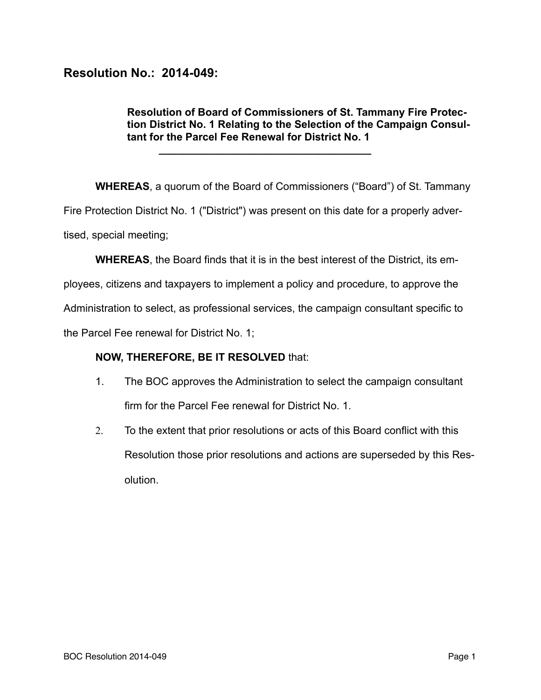## **Resolution No.: 2014-049:**

## **Resolution of Board of Commissioners of St. Tammany Fire Protection District No. 1 Relating to the Selection of the Campaign Consultant for the Parcel Fee Renewal for District No. 1**

**WHEREAS**, a quorum of the Board of Commissioners ("Board") of St. Tammany Fire Protection District No. 1 ("District") was present on this date for a properly advertised, special meeting;

**WHEREAS**, the Board finds that it is in the best interest of the District, its em-

ployees, citizens and taxpayers to implement a policy and procedure, to approve the

Administration to select, as professional services, the campaign consultant specific to

the Parcel Fee renewal for District No. 1;

## **NOW, THEREFORE, BE IT RESOLVED** that:

**\_\_\_\_\_\_\_\_\_\_\_\_\_\_\_\_\_\_\_\_\_\_\_\_\_\_\_\_\_\_\_\_\_\_\_\_** 

- 1. The BOC approves the Administration to select the campaign consultant firm for the Parcel Fee renewal for District No. 1.
- 2. To the extent that prior resolutions or acts of this Board conflict with this Resolution those prior resolutions and actions are superseded by this Resolution.